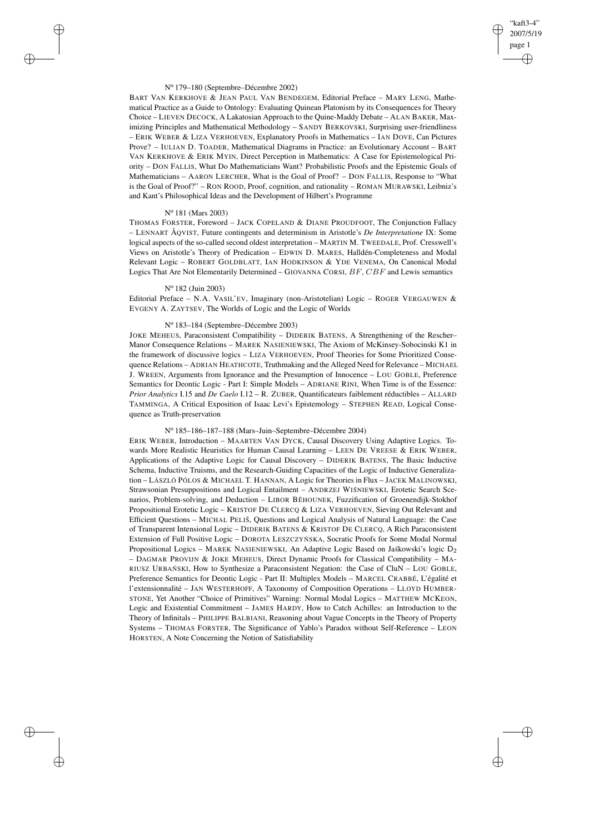# "kaft3-4" 2007/5/19 page 1 ✐ ✐

✐

✐

### N<sup>o</sup> 179–180 (Septembre–Décembre 2002)

BART VAN KERKHOVE & JEAN PAUL VAN BENDEGEM, Editorial Preface – MARY LENG, Mathematical Practice as a Guide to Ontology: Evaluating Quinean Platonism by its Consequences for Theory Choice – LIEVEN DECOCK, A Lakatosian Approach to the Quine-Maddy Debate – ALAN BAKER, Maximizing Principles and Mathematical Methodology – SANDY BERKOVSKI, Surprising user-friendliness – ERIK WEBER & LIZA VERHOEVEN, Explanatory Proofs in Mathematics – IAN DOVE, Can Pictures Prove? – IULIAN D. TOADER, Mathematical Diagrams in Practice: an Evolutionary Account – BART VAN KERKHOVE & ERIK MYIN, Direct Perception in Mathematics: A Case for Epistemological Priority – DON FALLIS, What Do Mathematicians Want? Probabilistic Proofs and the Epistemic Goals of Mathematicians – AARON LERCHER, What is the Goal of Proof? – DON FALLIS, Response to "What is the Goal of Proof?" – RON ROOD, Proof, cognition, and rationality – ROMAN MURAWSKI, Leibniz's and Kant's Philosophical Ideas and the Development of Hilbert's Programme

## N<sup>o</sup> 181 (Mars 2003)

 $\rightarrow$ 

 $\rightarrow$ 

✐

✐

THOMAS FORSTER, Foreword – JACK COPELAND & DIANE PROUDFOOT, The Conjunction Fallacy – LENNART ÅQVIST, Future contingents and determinism in Aristotle's *De Interpretatione* IX: Some logical aspects of the so-called second oldest interpretation – MARTIN M. TWEEDALE, Prof. Cresswell's Views on Aristotle's Theory of Predication – EDWIN D. MARES, Halldén-Completeness and Modal Relevant Logic – ROBERT GOLDBLATT, IAN HODKINSON & YDE VENEMA, On Canonical Modal Logics That Are Not Elementarily Determined – GIOVANNA CORSI,  $BF$ ,  $CBF$  and Lewis semantics

## N<sup>o</sup> 182 (Juin 2003)

Editorial Preface – N.A. VASIL'EV, Imaginary (non-Aristotelian) Logic – ROGER VERGAUWEN & EVGENY A. ZAYTSEV, The Worlds of Logic and the Logic of Worlds

## N<sup>o</sup> 183–184 (Septembre–Décembre 2003)

JOKE MEHEUS, Paraconsistent Compatibility – DIDERIK BATENS, A Strengthening of the Rescher– Manor Consequence Relations – MAREK NASIENIEWSKI, The Axiom of McKinsey-Sobocinski K1 in the framework of discussive logics – LIZA VERHOEVEN, Proof Theories for Some Prioritized Consequence Relations – ADRIAN HEATHCOTE, Truthmaking and the Alleged Need for Relevance – MICHAEL J. WREEN, Arguments from Ignorance and the Presumption of Innocence – LOU GOBLE, Preference Semantics for Deontic Logic - Part I: Simple Models – ADRIANE RINI, When Time is of the Essence: *Prior Analytics* I.15 and *De Caelo* I.12 – R. ZUBER, Quantificateurs faiblement réductibles – ALLARD TAMMINGA, A Critical Exposition of Isaac Levi's Epistemology – STEPHEN READ, Logical Consequence as Truth-preservation

## N<sup>o</sup> 185–186–187–188 (Mars–Juin–Septembre–Décembre 2004)

ERIK WEBER, Introduction – MAARTEN VAN DYCK, Causal Discovery Using Adaptive Logics. Towards More Realistic Heuristics for Human Causal Learning – LEEN DE VREESE & ERIK WEBER, Applications of the Adaptive Logic for Causal Discovery – DIDERIK BATENS, The Basic Inductive Schema, Inductive Truisms, and the Research-Guiding Capacities of the Logic of Inductive Generalization – LÁSZLÓ PÓLOS & MICHAEL T. HANNAN, A Logic for Theories in Flux – JACEK MALINOWSKI, Strawsonian Presuppositions and Logical Entailment - ANDRZEJ WIŚNIEWSKI, Erotetic Search Scenarios, Problem-solving, and Deduction – LIBOR BĚHOUNEK, Fuzzification of Groenendijk-Stokhof Propositional Erotetic Logic – KRISTOF DE CLERCQ & LIZA VERHOEVEN, Sieving Out Relevant and Efficient Questions – MICHAL PELIŠ, Questions and Logical Analysis of Natural Language: the Case of Transparent Intensional Logic – DIDERIK BATENS & KRISTOF DE CLERCQ, A Rich Paraconsistent Extension of Full Positive Logic – DOROTA LESZCZYŃ SKA, Socratic Proofs for Some Modal Normal Propositional Logics – MAREK NASIENIEWSKI, An Adaptive Logic Based on Jaskowski's logic D<sub>2</sub> – DAGMAR PROVIJN & JOKE MEHEUS, Direct Dynamic Proofs for Classical Compatibility – MA-RIUSZ URBAŃSKI, How to Synthesize a Paraconsistent Negation: the Case of CluN - LOU GOBLE, Preference Semantics for Deontic Logic - Part II: Multiplex Models – MARCEL CRABBÉ, L'égalité et l'extensionnalité – JAN WESTERHOFF, A Taxonomy of Composition Operations – LLOYD HUMBER-STONE, Yet Another "Choice of Primitives" Warning: Normal Modal Logics – MATTHEW MCKEON, Logic and Existential Commitment – JAMES HARDY, How to Catch Achilles: an Introduction to the Theory of Infinitals – PHILIPPE BALBIANI, Reasoning about Vague Concepts in the Theory of Property Systems – THOMAS FORSTER, The Significance of Yablo's Paradox without Self-Reference – LEON HORSTEN, A Note Concerning the Notion of Satisfiability